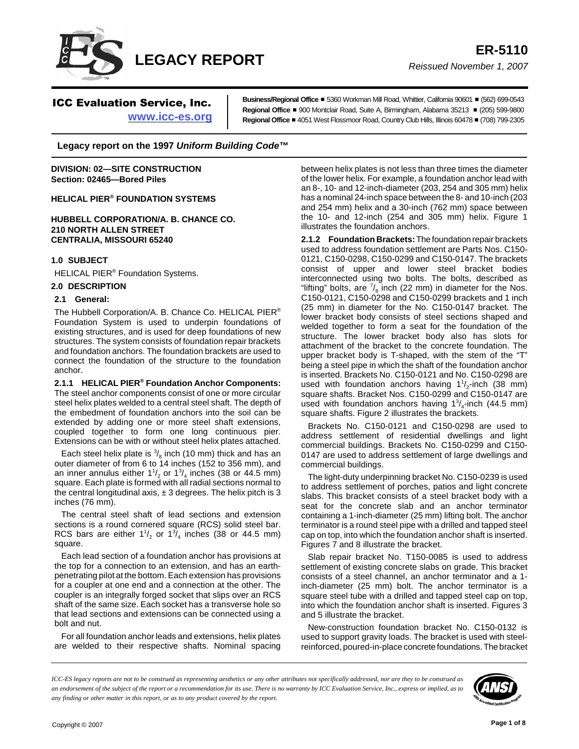

ICC Evaluation Service, Inc.

**www.icc-es.org**

**Business/Regional Office** ■ 5360 Workman Mill Road, Whittier, Califomia 90601 ■ (562) 699-0543 **Regional Office** # 900 Montclair Road, Suite A, Birmingham, Alabama 35213 # (205) 599-9800 **Regional Office** # 4051 West Flossmoor Road, Country Club Hills, Illinois 60478 # (708) 799-2305

**Legacy report on the 1997** *Uniform Building Code***™**

**DIVISION: 02—SITE CONSTRUCTION Section: 02465—Bored Piles**

**HELICAL PIER® FOUNDATION SYSTEMS**

**HUBBELL CORPORATION/A. B. CHANCE CO. 210 NORTH ALLEN STREET CENTRALIA, MISSOURI 65240**

### **1.0 SUBJECT**

HELICAL PIER® Foundation Systems.

#### **2.0 DESCRIPTION**

#### **2.1 General:**

The Hubbell Corporation/A. B. Chance Co. HELICAL PIER® Foundation System is used to underpin foundations of existing structures, and is used for deep foundations of new structures. The system consists of foundation repair brackets and foundation anchors. The foundation brackets are used to connect the foundation of the structure to the foundation anchor.

**2.1.1 HELICAL PIER® Foundation Anchor Components:** The steel anchor components consist of one or more circular steel helix plates welded to a central steel shaft. The depth of the embedment of foundation anchors into the soil can be extended by adding one or more steel shaft extensions, coupled together to form one long continuous pier. Extensions can be with or without steel helix plates attached.

Each steel helix plate is  $\frac{3}{8}$  inch (10 mm) thick and has an outer diameter of from 6 to 14 inches (152 to 356 mm), and an inner annulus either 1<sup>1</sup>/<sub>2</sub> or 1<sup>3</sup>/<sub>4</sub> inches (38 or 44.5 mm) square. Each plate is formed with all radial sections normal to the central longitudinal axis,  $\pm 3$  degrees. The helix pitch is 3 inches (76 mm).

The central steel shaft of lead sections and extension sections is a round cornered square (RCS) solid steel bar. RCS bars are either  $1\frac{1}{2}$  or  $1\frac{3}{4}$  inches (38 or 44.5 mm) square.

Each lead section of a foundation anchor has provisions at the top for a connection to an extension, and has an earthpenetrating pilot at the bottom. Each extension has provisions for a coupler at one end and a connection at the other. The coupler is an integrally forged socket that slips over an RCS shaft of the same size. Each socket has a transverse hole so that lead sections and extensions can be connected using a bolt and nut.

For all foundation anchor leads and extensions, helix plates are welded to their respective shafts. Nominal spacing between helix plates is not less than three times the diameter of the lower helix. For example, a foundation anchor lead with an 8-, 10- and 12-inch-diameter (203, 254 and 305 mm) helix has a nominal 24-inch space between the 8- and 10-inch (203 and 254 mm) helix and a 30-inch (762 mm) space between the 10- and 12-inch (254 and 305 mm) helix. Figure 1 illustrates the foundation anchors.

**2.1.2 Foundation Brackets:** The foundation repair brackets used to address foundation settlement are Parts Nos. C150- 0121, C150-0298, C150-0299 and C150-0147. The brackets consist of upper and lower steel bracket bodies interconnected using two bolts. The bolts, described as "lifting" bolts, are  $\frac{7}{8}$  inch (22 mm) in diameter for the Nos. C150-0121, C150-0298 and C150-0299 brackets and 1 inch (25 mm) in diameter for the No. C150-0147 bracket. The lower bracket body consists of steel sections shaped and welded together to form a seat for the foundation of the structure. The lower bracket body also has slots for attachment of the bracket to the concrete foundation. The upper bracket body is T-shaped, with the stem of the "T" being a steel pipe in which the shaft of the foundation anchor is inserted. Brackets No. C150-0121 and No. C150-0298 are used with foundation anchors having  $1\frac{1}{2}$ -inch (38 mm) square shafts. Bracket Nos. C150-0299 and C150-0147 are used with foundation anchors having  $1^3/4$ -inch (44.5 mm) square shafts. Figure 2 illustrates the brackets.

Brackets No. C150-0121 and C150-0298 are used to address settlement of residential dwellings and light commercial buildings. Brackets No. C150-0299 and C150- 0147 are used to address settlement of large dwellings and commercial buildings.

The light-duty underpinning bracket No. C150-0239 is used to address settlement of porches, patios and light concrete slabs. This bracket consists of a steel bracket body with a seat for the concrete slab and an anchor terminator containing a 1-inch-diameter (25 mm) lifting bolt. The anchor terminator is a round steel pipe with a drilled and tapped steel cap on top, into which the foundation anchor shaft is inserted. Figures 7 and 8 illustrate the bracket.

Slab repair bracket No. T150-0085 is used to address settlement of existing concrete slabs on grade. This bracket consists of a steel channel, an anchor terminator and a 1 inch-diameter (25 mm) bolt. The anchor terminator is a square steel tube with a drilled and tapped steel cap on top, into which the foundation anchor shaft is inserted. Figures 3 and 5 illustrate the bracket.

New-construction foundation bracket No. C150-0132 is used to support gravity loads. The bracket is used with steelreinforced, poured-in-place concrete foundations. The bracket

*ICC-ES legacy reports are not to be construed as representing aesthetics or any other attributes not specifically addressed, nor are they to be construed as an endorsement of the subject of the report or a recommendation for its use. There is no warranty by ICC Evaluation Service, Inc., express or implied, as to any finding or other matter in this report, or as to any product covered by the report.*

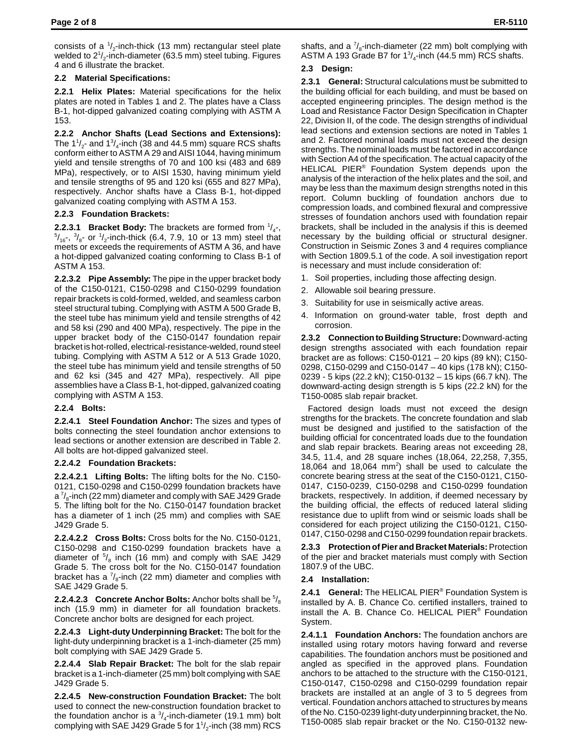consists of a  $\frac{1}{2}$ -inch-thick (13 mm) rectangular steel plate welded to 2 $\frac{1}{2}$ -inch-diameter (63.5 mm) steel tubing. Figures 4 and 6 illustrate the bracket.

## **2.2 Material Specifications:**

**2.2.1 Helix Plates:** Material specifications for the helix plates are noted in Tables 1 and 2. The plates have a Class B-1, hot-dipped galvanized coating complying with ASTM A 153.

**2.2.2 Anchor Shafts (Lead Sections and Extensions):** The  $1\frac{1}{2}$ - and  $1\frac{3}{4}$ -inch (38 and 44.5 mm) square RCS shafts conform either to ASTM A 29 and AISI 1044, having minimum yield and tensile strengths of 70 and 100 ksi (483 and 689 MPa), respectively, or to AISI 1530, having minimum yield and tensile strengths of 95 and 120 ksi (655 and 827 MPa), respectively. Anchor shafts have a Class B-1, hot-dipped galvanized coating complying with ASTM A 153.

### **2.2.3 Foundation Brackets:**

**2.2.3.1 Bracket Body:** The brackets are formed from  $\frac{1}{4}$ ,  $\frac{3}{4}$  or  $\frac{1}{4}$ , inch-thick (6.4, 7.9, 1.0 or 1.3 mm) steel that  $\mathcal{N}_{16}$ ,  $\mathcal{N}_{8}$ - or  $\mathcal{N}_{2}$ -inch-thick (6.4, 7.9, 10 or 13 mm) steel that meets or exceeds the requirements of ASTM A 36, and have a hot-dipped galvanized coating conforming to Class B-1 of ASTM A 153.

**2.2.3.2 Pipe Assembly:** The pipe in the upper bracket body of the C150-0121, C150-0298 and C150-0299 foundation repair brackets is cold-formed, welded, and seamless carbon steel structural tubing. Complying with ASTM A 500 Grade B, the steel tube has minimum yield and tensile strengths of 42 and 58 ksi (290 and 400 MPa), respectively. The pipe in the upper bracket body of the C150-0147 foundation repair bracket is hot-rolled, electrical-resistance-welded, round steel tubing. Complying with ASTM A 512 or A 513 Grade 1020, the steel tube has minimum yield and tensile strengths of 50 and 62 ksi (345 and 427 MPa), respectively. All pipe assemblies have a Class B-1, hot-dipped, galvanized coating complying with ASTM A 153.

# **2.2.4 Bolts:**

**2.2.4.1 Steel Foundation Anchor:** The sizes and types of bolts connecting the steel foundation anchor extensions to lead sections or another extension are described in Table 2. All bolts are hot-dipped galvanized steel.

# **2.2.4.2 Foundation Brackets:**

**2.2.4.2.1 Lifting Bolts:** The lifting bolts for the No. C150- 0121, C150-0298 and C150-0299 foundation brackets have a  $\frac{7}{8}$ -inch (22 mm) diameter and comply with SAE J429 Grade 5. The lifting bolt for the No. C150-0147 foundation bracket has a diameter of 1 inch (25 mm) and complies with SAE J429 Grade 5.

**2.2.4.2.2 Cross Bolts:** Cross bolts for the No. C150-0121, C150-0298 and C150-0299 foundation brackets have a diameter of  $\frac{5}{8}$  inch (16 mm) and comply with SAE J429 Grade 5. The cross bolt for the No. C150-0147 foundation bracket has a  $\frac{7}{8}$ -inch (22 mm) diameter and complies with SAE J429 Grade 5.

**2.2.4.2.3 Concrete Anchor Bolts:** Anchor bolts shall be  $\frac{5}{8}$ inch (15.9 mm) in diameter for all foundation brackets. Concrete anchor bolts are designed for each project.

**2.2.4.3 Light-duty Underpinning Bracket:** The bolt for the light-duty underpinning bracket is a 1-inch-diameter (25 mm) bolt complying with SAE J429 Grade 5.

**2.2.4.4 Slab Repair Bracket:** The bolt for the slab repair bracket is a 1-inch-diameter (25 mm) bolt complying with SAE J429 Grade 5.

**2.2.4.5 New-construction Foundation Bracket:** The bolt used to connect the new-construction foundation bracket to the foundation anchor is a  $\frac{3}{4}$ -inch-diameter (19.1 mm) bolt complying with SAE J429 Grade 5 for  $1\frac{1}{2}$ -inch (38 mm) RCS shafts, and a  $\frac{7}{8}$ -inch-diameter (22 mm) bolt complying with ASTM A 193 Grade B7 for  $1\frac{3}{4}$ -inch (44.5 mm) RCS shafts.

# **2.3 Design:**

**2.3.1 General:** Structural calculations must be submitted to the building official for each building, and must be based on accepted engineering principles. The design method is the Load and Resistance Factor Design Specification in Chapter 22, Division II, of the code. The design strengths of individual lead sections and extension sections are noted in Tables 1 and 2. Factored nominal loads must not exceed the design strengths. The nominal loads must be factored in accordance with Section A4 of the specification. The actual capacity of the HELICAL PIER® Foundation System depends upon the analysis of the interaction of the helix plates and the soil, and may be less than the maximum design strengths noted in this report. Column buckling of foundation anchors due to compression loads, and combined flexural and compressive stresses of foundation anchors used with foundation repair brackets, shall be included in the analysis if this is deemed necessary by the building official or structural designer. Construction in Seismic Zones 3 and 4 requires compliance with Section 1809.5.1 of the code. A soil investigation report is necessary and must include consideration of:

- 1. Soil properties, including those affecting design.
- 2. Allowable soil bearing pressure.
- Suitability for use in seismically active areas.
- 4. Information on ground-water table, frost depth and corrosion.

**2.3.2 Connection to Building Structure:** Downward-acting design strengths associated with each foundation repair bracket are as follows: C150-0121 – 20 kips (89 kN); C150- 0298, C150-0299 and C150-0147 – 40 kips (178 kN); C150- 0239 - 5 kips (22.2 kN); C150-0132 – 15 kips (66.7 kN). The downward-acting design strength is 5 kips (22.2 kN) for the T150-0085 slab repair bracket.

Factored design loads must not exceed the design strengths for the brackets. The concrete foundation and slab must be designed and justified to the satisfaction of the building official for concentrated loads due to the foundation and slab repair brackets. Bearing areas not exceeding 28, 34.5, 11.4, and 28 square inches (18,064, 22,258, 7,355, 18,064 and 18,064  $mm<sup>2</sup>$ ) shall be used to calculate the concrete bearing stress at the seat of the C150-0121, C150- 0147, C150-0239, C150-0298 and C150-0299 foundation brackets, respectively. In addition, if deemed necessary by the building official, the effects of reduced lateral sliding resistance due to uplift from wind or seismic loads shall be considered for each project utilizing the C150-0121, C150- 0147, C150-0298 and C150-0299 foundation repair brackets.

**2.3.3 Protection of Pier and Bracket Materials:** Protection of the pier and bracket materials must comply with Section 1807.9 of the UBC.

# **2.4 Installation:**

**2.4.1 General:** The HELICAL PIER® Foundation System is installed by A. B. Chance Co. certified installers, trained to install the A. B. Chance Co. HELICAL PIER® Foundation System.

**2.4.1.1 Foundation Anchors:** The foundation anchors are installed using rotary motors having forward and reverse capabilities. The foundation anchors must be positioned and angled as specified in the approved plans. Foundation anchors to be attached to the structure with the C150-0121, C150-0147, C150-0298 and C150-0299 foundation repair brackets are installed at an angle of 3 to 5 degrees from vertical. Foundation anchors attached to structures by means of the No. C150-0239 light-duty underpinning bracket, the No. T150-0085 slab repair bracket or the No. C150-0132 new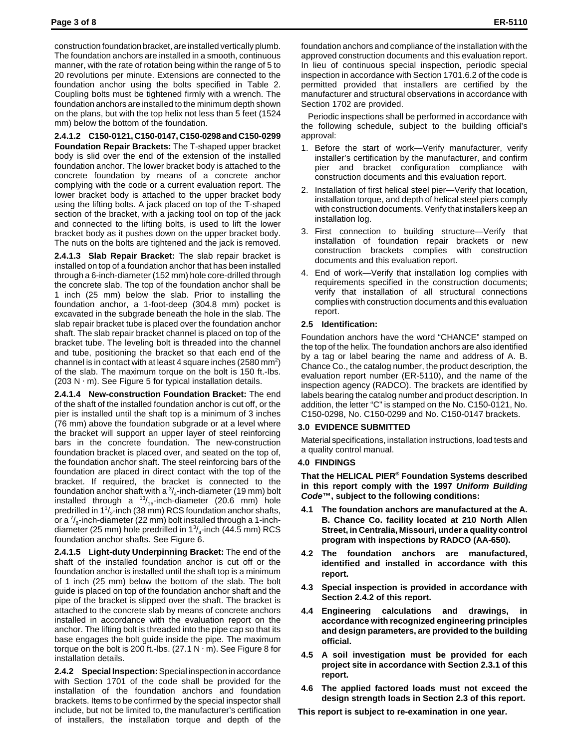construction foundation bracket, are installed vertically plumb. The foundation anchors are installed in a smooth, continuous manner, with the rate of rotation being within the range of 5 to 20 revolutions per minute. Extensions are connected to the foundation anchor using the bolts specified in Table 2. Coupling bolts must be tightened firmly with a wrench. The foundation anchors are installed to the minimum depth shown on the plans, but with the top helix not less than 5 feet (1524 mm) below the bottom of the foundation.

**2.4.1.2 C150-0121, C150-0147, C150-0298 and C150-0299**

**Foundation Repair Brackets:** The T-shaped upper bracket body is slid over the end of the extension of the installed foundation anchor. The lower bracket body is attached to the concrete foundation by means of a concrete anchor complying with the code or a current evaluation report. The lower bracket body is attached to the upper bracket body using the lifting bolts. A jack placed on top of the T-shaped section of the bracket, with a jacking tool on top of the jack and connected to the lifting bolts, is used to lift the lower bracket body as it pushes down on the upper bracket body. The nuts on the bolts are tightened and the jack is removed.

**2.4.1.3 Slab Repair Bracket:** The slab repair bracket is installed on top of a foundation anchor that has been installed through a 6-inch-diameter (152 mm) hole core-drilled through the concrete slab. The top of the foundation anchor shall be 1 inch (25 mm) below the slab. Prior to installing the foundation anchor, a 1-foot-deep (304.8 mm) pocket is excavated in the subgrade beneath the hole in the slab. The slab repair bracket tube is placed over the foundation anchor shaft. The slab repair bracket channel is placed on top of the bracket tube. The leveling bolt is threaded into the channel and tube, positioning the bracket so that each end of the channel is in contact with at least 4 square inches (2580 mm<sup>2</sup>) of the slab. The maximum torque on the bolt is 150 ft.-lbs. (203 N  $\cdot$  m). See Figure 5 for typical installation details.

**2.4.1.4 New-construction Foundation Bracket:** The end of the shaft of the installed foundation anchor is cut off, or the pier is installed until the shaft top is a minimum of 3 inches (76 mm) above the foundation subgrade or at a level where the bracket will support an upper layer of steel reinforcing bars in the concrete foundation. The new-construction foundation bracket is placed over, and seated on the top of, the foundation anchor shaft. The steel reinforcing bars of the foundation are placed in direct contact with the top of the bracket. If required, the bracket is connected to the foundation anchor shaft with a  $\frac{3}{4}$ -inch-diameter (19 mm) bolt installed through a  $^{13}$ /<sub>16</sub>-inch-diameter (20.6 mm) hole predrilled in  $1^{\frac{1}{2}}$ -inch (38 mm) RCS foundation anchor shafts, or a  $\frac{7}{8}$ -inch-diameter (22 mm) bolt installed through a 1-inchdiameter (25 mm) hole predrilled in  $1\frac{3}{4}$ -inch (44.5 mm) RCS foundation anchor shafts. See Figure 6.

**2.4.1.5 Light-duty Underpinning Bracket:** The end of the shaft of the installed foundation anchor is cut off or the foundation anchor is installed until the shaft top is a minimum of 1 inch (25 mm) below the bottom of the slab. The bolt guide is placed on top of the foundation anchor shaft and the pipe of the bracket is slipped over the shaft. The bracket is attached to the concrete slab by means of concrete anchors installed in accordance with the evaluation report on the anchor. The lifting bolt is threaded into the pipe cap so that its base engages the bolt guide inside the pipe. The maximum torque on the bolt is 200 ft.-lbs. (27.1 N $\cdot$  m). See Figure 8 for installation details.

**2.4.2 Special Inspection:** Special inspection in accordance with Section 1701 of the code shall be provided for the installation of the foundation anchors and foundation brackets. Items to be confirmed by the special inspector shall include, but not be limited to, the manufacturer's certification of installers, the installation torque and depth of the

foundation anchors and compliance of the installation with the approved construction documents and this evaluation report. In lieu of continuous special inspection, periodic special inspection in accordance with Section 1701.6.2 of the code is permitted provided that installers are certified by the manufacturer and structural observations in accordance with Section 1702 are provided.

Periodic inspections shall be performed in accordance with the following schedule, subject to the building official's approval:

- 1. Before the start of work—Verify manufacturer, verify installer's certification by the manufacturer, and confirm pier and bracket configuration compliance with construction documents and this evaluation report.
- 2. Installation of first helical steel pier—Verify that location, installation torque, and depth of helical steel piers comply with construction documents. Verify that installers keep an installation log.
- 3. First connection to building structure—Verify that installation of foundation repair brackets or new construction brackets complies with construction documents and this evaluation report.
- 4. End of work—Verify that installation log complies with requirements specified in the construction documents; verify that installation of all structural connections complies with construction documents and this evaluation report.

### **2.5 Identification:**

Foundation anchors have the word "CHANCE" stamped on the top of the helix. The foundation anchors are also identified by a tag or label bearing the name and address of A. B. Chance Co., the catalog number, the product description, the evaluation report number (ER-5110), and the name of the inspection agency (RADCO). The brackets are identified by labels bearing the catalog number and product description. In addition, the letter "C" is stamped on the No. C150-0121, No. C150-0298, No. C150-0299 and No. C150-0147 brackets.

### **3.0 EVIDENCE SUBMITTED**

Material specifications, installation instructions, load tests and a quality control manual.

### **4.0 FINDINGS**

**That the HELICAL PIER® Foundation Systems described in this report comply with the 1997** *Uniform Building Code***™, subject to the following conditions:**

- **4.1 The foundation anchors are manufactured at the A. B. Chance Co. facility located at 210 North Allen Street, in Centralia, Missouri, under a quality control program with inspections by RADCO (AA-650).**
- **4.2 The foundation anchors are manufactured, identified and installed in accordance with this report.**
- **4.3 Special inspection is provided in accordance with Section 2.4.2 of this report.**
- **4.4 Engineering calculations and drawings, in accordance with recognized engineering principles and design parameters, are provided to the building official.**
- **4.5 A soil investigation must be provided for each project site in accordance with Section 2.3.1 of this report.**
- **4.6 The applied factored loads must not exceed the design strength loads in Section 2.3 of this report.**

**This report is subject to re-examination in one year.**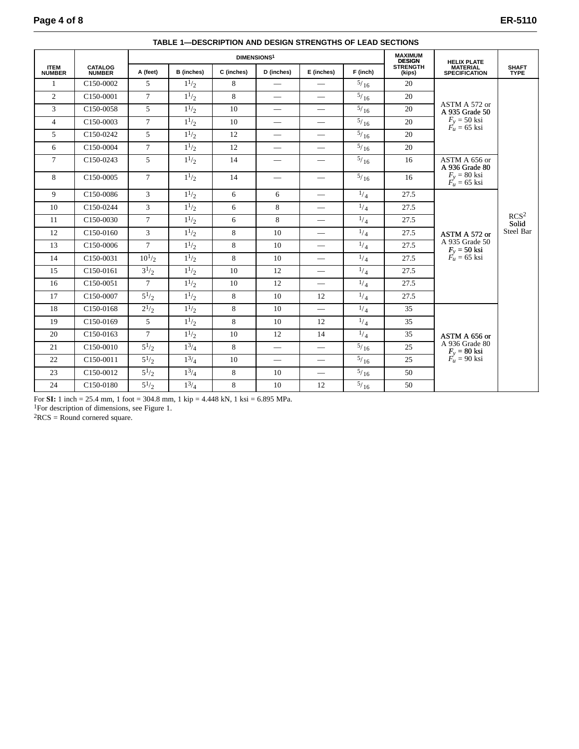|                              | <b>CATALOG</b><br><b>NUMBER</b> | <b>DIMENSIONS1</b> |            |            |                          |                          |                | <b>MAXIMUM</b><br><b>DESIGN</b> | <b>HELIX PLATE</b>                      |                                        |
|------------------------------|---------------------------------|--------------------|------------|------------|--------------------------|--------------------------|----------------|---------------------------------|-----------------------------------------|----------------------------------------|
| <b>ITEM</b><br><b>NUMBER</b> |                                 | A (feet)           | B (inches) | C (inches) | D (inches)               | E (inches)               | F (inch)       | <b>STRENGTH</b><br>(kips)       | <b>MATERIAL</b><br><b>SPECIFICATION</b> | <b>SHAFT</b><br><b>TYPE</b>            |
| $\mathbf{1}$                 | C150-0002                       | 5                  | $1^{1/2}$  | 8          | $\overline{\phantom{0}}$ |                          | $^{5/16}$      | 20                              |                                         | RCS <sup>2</sup><br>Solid<br>Steel Bar |
| $\overline{2}$               | C150-0001                       | $\overline{7}$     | $1^{1/2}$  | 8          | $\overline{\phantom{0}}$ |                          | $\frac{5}{16}$ | 20                              |                                         |                                        |
| 3                            | C150-0058                       | 5                  | $1^{1/2}$  | 10         |                          | $\equiv$                 | 5/16           | 20                              | ASTM A 572 or<br>A 935 Grade 50         |                                        |
| $\overline{4}$               | C150-0003                       | $\overline{7}$     | $1^{1/2}$  | 10         |                          | $\equiv$                 | $^{5/}16$      | 20                              | $F_v = 50$ ksi<br>$F'_u = 65$ ksi       |                                        |
| $\overline{5}$               | C150-0242                       | $\overline{5}$     | $1^{1/2}$  | 12         | $\overline{\phantom{0}}$ | $\overline{\phantom{0}}$ | $^{5/}16$      | 20                              |                                         |                                        |
| 6                            | C150-0004                       | $\overline{7}$     | $1^{1/2}$  | 12         | $\equiv$                 | $\overline{\phantom{0}}$ | $\frac{5}{16}$ | 20                              |                                         |                                        |
| $\tau$                       | C <sub>150</sub> -0243          | 5                  | $1^{1/2}$  | 14         |                          | $\overline{\phantom{m}}$ | $^{5/16}$      | 16                              | ASTM A 656 or<br>A 936 Grade 80         |                                        |
| 8                            | C150-0005                       | $\tau$             | $1^{1/2}$  | 14         |                          | $\overline{\phantom{m}}$ | $\frac{5}{16}$ | 16                              | $F_v = 80$ ksi<br>$F'_u = 65$ ksi       |                                        |
| 9                            | C150-0086                       | $\overline{3}$     | $1^{1/2}$  | 6          | 6                        | $\overline{\phantom{0}}$ | 1/4            | 27.5                            |                                         |                                        |
| 10                           | C150-0244                       | $\mathbf{3}$       | $1^{1/2}$  | 6          | 8                        | $\overline{\phantom{0}}$ | $^{1/4}$       | 27.5                            |                                         |                                        |
| 11                           | C150-0030                       | $\tau$             | $1^{1/2}$  | 6          | 8                        | $\equiv$                 | $^{1/4}$       | 27.5                            |                                         |                                        |
| 12                           | C <sub>150</sub> -0160          | 3                  | $1^{1/2}$  | 8          | 10                       |                          | 1/4            | 27.5                            | ASTM A 572 or                           |                                        |
| 13                           | C150-0006                       | $\overline{7}$     | $1^{1/2}$  | 8          | 10                       | $\overline{\phantom{0}}$ | 1/4            | 27.5                            | A 935 Grade 50                          |                                        |
| 14                           | C150-0031                       | $10^{1/2}$         | $1^{1/2}$  | 8          | 10                       |                          | 1/4            | 27.5                            | $F_y = 50$ ksi<br>$F_u = 65$ ksi        |                                        |
| 15                           | C150-0161                       | $3^{1/2}$          | $1^{1/2}$  | 10         | 12                       | $\equiv$                 | $^{1/4}$       | 27.5                            |                                         |                                        |
| 16                           | C150-0051                       | $\tau$             | $1^{1/2}$  | 10         | 12                       |                          | $^{1/4}$       | 27.5                            |                                         |                                        |
| 17                           | C150-0007                       | $5^{1/2}$          | $1^{1/2}$  | 8          | 10                       | 12                       | $^{1/4}$       | 27.5                            |                                         |                                        |
| 18                           | C150-0168                       | $2^{1/2}$          | $1^{1/2}$  | 8          | 10                       |                          | 1/4            | 35                              |                                         |                                        |
| 19                           | C150-0169                       | 5                  | $1^{1/2}$  | 8          | 10                       | 12                       | $^{1/4}$       | 35                              |                                         |                                        |
| 20                           | C150-0163                       | $\overline{7}$     | $1^{1/2}$  | 10         | 12                       | 14                       | $^{1/4}$       | 35                              | ASTM A 656 or                           |                                        |
| 21                           | C150-0010                       | $5^{1/2}$          | $1^{3/4}$  | 8          | $\equiv$                 | $\overline{\phantom{0}}$ | $^{5/}16$      | 25                              | A 936 Grade 80                          |                                        |
| 22                           | C150-0011                       | $5^{1/2}$          | $1^3/4$    | 10         | $\equiv$                 | $\equiv$                 | $\frac{5}{16}$ | 25                              | $F_y = 80$ ksi<br>$F_u = 90$ ksi        |                                        |
| 23                           | C150-0012                       | $5^{1/2}$          | $1^3/4$    | 8          | 10                       | $\equiv$                 | $^{5/16}$      | 50                              |                                         |                                        |
| 24                           | C150-0180                       | $5^{1/2}$          | $1^{3/4}$  | 8          | 10                       | 12                       | $^{5/}16$      | 50                              |                                         |                                        |

#### **TABLE 1—DESCRIPTION AND DESIGN STRENGTHS OF LEAD SECTIONS**

For **SI:** 1 inch = 25.4 mm, 1 foot = 304.8 mm, 1 kip = 4.448 kN, 1 ksi = 6.895 MPa.

1For description of dimensions, see Figure 1.

 ${}^{2}RCS =$  Round cornered square.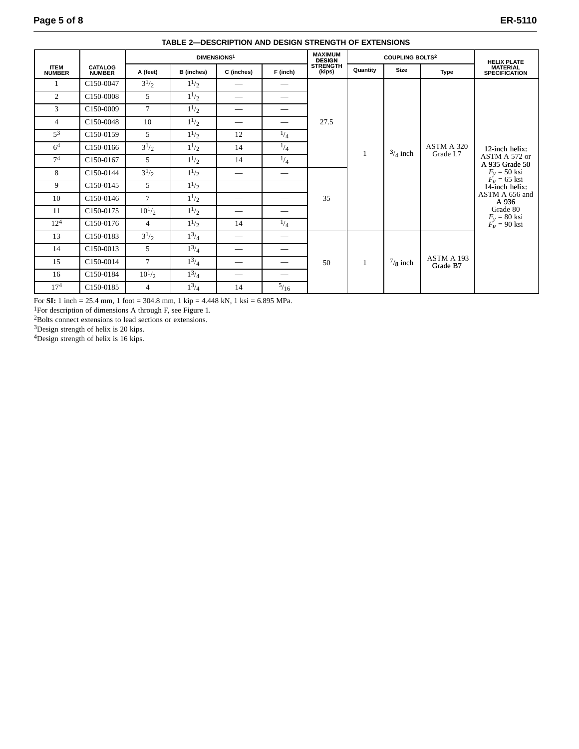|                              |                          | <b>DIMENSIONS1</b> |                   |                               |                          | <b>MAXIMUM</b><br><b>DESIGN</b> | <b>COUPLING BOLTS2</b> |                    |                        | <b>HELIX PLATE</b>                                                                                                                                                                  |
|------------------------------|--------------------------|--------------------|-------------------|-------------------------------|--------------------------|---------------------------------|------------------------|--------------------|------------------------|-------------------------------------------------------------------------------------------------------------------------------------------------------------------------------------|
| <b>ITEM</b><br><b>NUMBER</b> | <b>CATALOG</b><br>NUMBER | A (feet)           | <b>B</b> (inches) | C (inches)                    | F (inch)                 | <b>STRENGTH</b><br>(kips)       | Quantity               | Size               | <b>Type</b>            | <b>MATERIAL</b><br><b>SPECIFICATION</b>                                                                                                                                             |
| 1                            | C150-0047                | $3^{1/2}$          | $1^{1/2}$         |                               |                          | 27.5                            |                        | $3/4$ inch         | ASTM A 320<br>Grade L7 | 12-inch helix:<br>ASTM A 572 or<br>A 935 Grade 50<br>$F_v = 50$ ksi<br>$F_u = 65$ ksi<br>14-inch helix:<br>ASTM A 656 and<br>A 936<br>Grade 80<br>$F_y = 80$ ksi<br>$F'_u = 90$ ksi |
| 2                            | C150-0008                | 5                  | $1^{1/2}$         | $\overbrace{\phantom{12332}}$ | $\overline{\phantom{0}}$ |                                 |                        |                    |                        |                                                                                                                                                                                     |
| 3                            | C <sub>150</sub> -0009   | $7\overline{ }$    | $1^{1/2}$         | $\overbrace{\phantom{13333}}$ | $\qquad \qquad$          |                                 |                        |                    |                        |                                                                                                                                                                                     |
| $\overline{4}$               | C150-0048                | 10                 | $1^{1/2}$         |                               |                          |                                 |                        |                    |                        |                                                                                                                                                                                     |
| $5^3$                        | C <sub>150</sub> -0159   | 5                  | $1^{1/2}$         | 12                            | $^{1/4}$                 |                                 |                        |                    |                        |                                                                                                                                                                                     |
| 6 <sup>4</sup>               | C <sub>150</sub> -0166   | $3^{1/2}$          | $1^{1/2}$         | 14                            | $^{1/4}$                 |                                 |                        |                    |                        |                                                                                                                                                                                     |
| 7 <sup>4</sup>               | C150-0167                | 5                  | $1^{1/2}$         | 14                            | $^{1/4}$                 |                                 |                        |                    |                        |                                                                                                                                                                                     |
| 8                            | C150-0144                | $3^{1/2}$          | $1^{1/2}$         | $\overbrace{\phantom{12332}}$ |                          | 35                              |                        |                    |                        |                                                                                                                                                                                     |
| 9                            | C150-0145                | 5                  | $1^{1/2}$         |                               | $\overline{\phantom{0}}$ |                                 |                        |                    |                        |                                                                                                                                                                                     |
| 10                           | C150-0146                | $\tau$             | $1^{1/2}$         |                               | $\overline{\phantom{0}}$ |                                 |                        |                    |                        |                                                                                                                                                                                     |
| 11                           | C <sub>150</sub> -0175   | $10^{1/2}$         | $1^{1/2}$         | $\overbrace{\phantom{12332}}$ |                          |                                 |                        |                    |                        |                                                                                                                                                                                     |
| $12^{4}$                     | C150-0176                | $\overline{4}$     | $1^{1/2}$         | 14                            | $^{1/4}$                 |                                 |                        |                    |                        |                                                                                                                                                                                     |
| 13                           | C150-0183                | $3^{1/2}$          | $1^3/4$           | $\hspace{0.05cm}$             |                          | 50                              | 1                      | $\frac{7}{8}$ inch | ASTM A 193<br>Grade B7 |                                                                                                                                                                                     |
| 14                           | C <sub>150</sub> -0013   | 5                  | $1^{3/4}$         |                               |                          |                                 |                        |                    |                        |                                                                                                                                                                                     |
| 15                           | C150-0014                | $\tau$             | $1^{3/4}$         |                               |                          |                                 |                        |                    |                        |                                                                                                                                                                                     |
| 16                           | C150-0184                | $10^{1/2}$         | $1^{3/4}$         |                               |                          |                                 |                        |                    |                        |                                                                                                                                                                                     |
| 17 <sup>4</sup>              | C150-0185                | $\overline{4}$     | $1^{3/4}$         | 14                            | $^{5/16}$                |                                 |                        |                    |                        |                                                                                                                                                                                     |

**TABLE 2—DESCRIPTION AND DESIGN STRENGTH OF EXTENSIONS**

For **SI:** 1 inch = 25.4 mm, 1 foot = 304.8 mm, 1 kip = 4.448 kN, 1 ksi = 6.895 MPa.

1For description of dimensions A through F, see Figure 1.

2Bolts connect extensions to lead sections or extensions.

3Design strength of helix is 20 kips.

4Design strength of helix is 16 kips.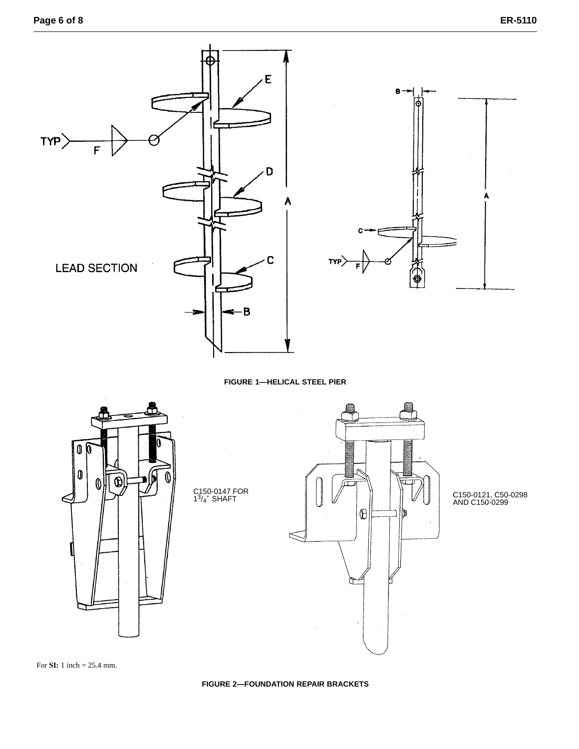

**FIGURE 1—HELICAL STEEL PIER**



For **SI:** 1 inch = 25.4 mm.

**FIGURE 2—FOUNDATION REPAIR BRACKETS**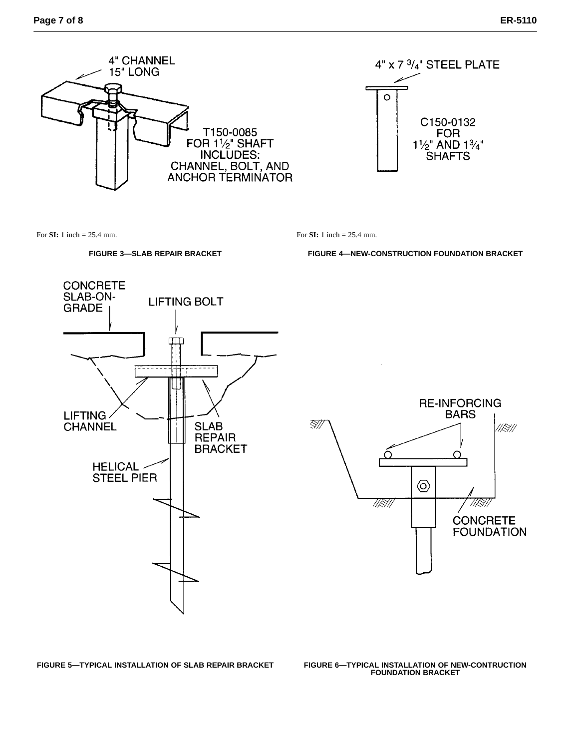

For **SI:** 1 inch = 25.4 mm.

### **FIGURE 3—SLAB REPAIR BRACKET**

For **SI:** 1 inch = 25.4 mm.

**FIGURE 4—NEW-CONSTRUCTION FOUNDATION BRACKET**

 $4"$  x 7  $3/4"$  STEEL PLATE

C150-0132

**FOR** 

 $1\frac{1}{2}$  AND  $1\frac{3}{4}$ " **SHAFTS** 

 $\circ$ 





**FIGURE 5-TYPICAL INSTALLATION OF SLAB REPAIR BRACKET** 

**FIGURE 6-TYPICAL INSTALLATION OF NEW-CONTRUCTION<br>FOUNDATION BRACKET**